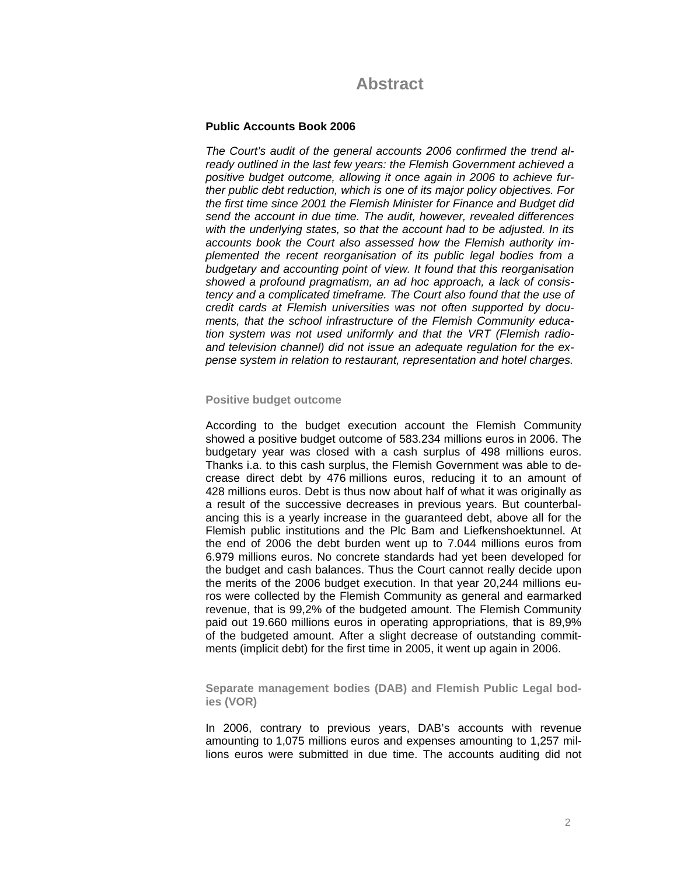# **Abstract**

# **Public Accounts Book 2006**

*The Court's audit of the general accounts 2006 confirmed the trend already outlined in the last few years: the Flemish Government achieved a positive budget outcome, allowing it once again in 2006 to achieve further public debt reduction, which is one of its major policy objectives. For the first time since 2001 the Flemish Minister for Finance and Budget did send the account in due time. The audit, however, revealed differences with the underlying states, so that the account had to be adjusted. In its accounts book the Court also assessed how the Flemish authority implemented the recent reorganisation of its public legal bodies from a budgetary and accounting point of view. It found that this reorganisation showed a profound pragmatism, an ad hoc approach, a lack of consistency and a complicated timeframe. The Court also found that the use of credit cards at Flemish universities was not often supported by documents, that the school infrastructure of the Flemish Community education system was not used uniformly and that the VRT (Flemish radioand television channel) did not issue an adequate regulation for the expense system in relation to restaurant, representation and hotel charges.* 

## **Positive budget outcome**

According to the budget execution account the Flemish Community showed a positive budget outcome of 583.234 millions euros in 2006. The budgetary year was closed with a cash surplus of 498 millions euros. Thanks i.a. to this cash surplus, the Flemish Government was able to decrease direct debt by 476 millions euros, reducing it to an amount of 428 millions euros. Debt is thus now about half of what it was originally as a result of the successive decreases in previous years. But counterbalancing this is a yearly increase in the guaranteed debt, above all for the Flemish public institutions and the Plc Bam and Liefkenshoektunnel. At the end of 2006 the debt burden went up to 7.044 millions euros from 6.979 millions euros. No concrete standards had yet been developed for the budget and cash balances. Thus the Court cannot really decide upon the merits of the 2006 budget execution. In that year 20,244 millions euros were collected by the Flemish Community as general and earmarked revenue, that is 99,2% of the budgeted amount. The Flemish Community paid out 19.660 millions euros in operating appropriations, that is 89,9% of the budgeted amount. After a slight decrease of outstanding commitments (implicit debt) for the first time in 2005, it went up again in 2006.

**Separate management bodies (DAB) and Flemish Public Legal bodies (VOR)**

In 2006, contrary to previous years, DAB's accounts with revenue amounting to 1,075 millions euros and expenses amounting to 1,257 millions euros were submitted in due time. The accounts auditing did not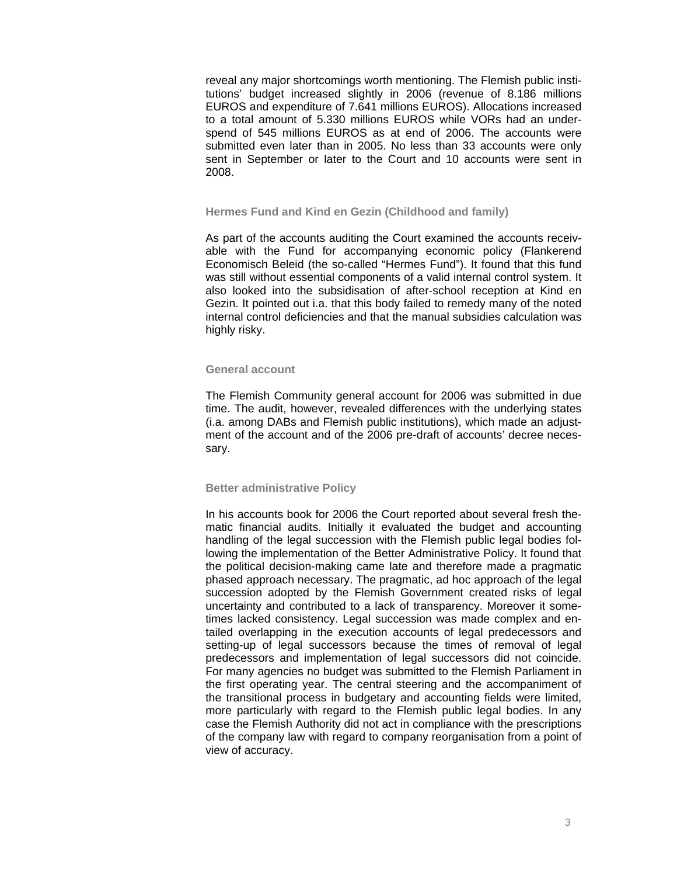reveal any major shortcomings worth mentioning. The Flemish public institutions' budget increased slightly in 2006 (revenue of 8.186 millions EUROS and expenditure of 7.641 millions EUROS). Allocations increased to a total amount of 5.330 millions EUROS while VORs had an underspend of 545 millions EUROS as at end of 2006. The accounts were submitted even later than in 2005. No less than 33 accounts were only sent in September or later to the Court and 10 accounts were sent in 2008.

## **Hermes Fund and Kind en Gezin (Childhood and family)**

As part of the accounts auditing the Court examined the accounts receivable with the Fund for accompanying economic policy (Flankerend Economisch Beleid (the so-called "Hermes Fund"). It found that this fund was still without essential components of a valid internal control system. It also looked into the subsidisation of after-school reception at Kind en Gezin. It pointed out i.a. that this body failed to remedy many of the noted internal control deficiencies and that the manual subsidies calculation was highly risky.

#### **General account**

The Flemish Community general account for 2006 was submitted in due time. The audit, however, revealed differences with the underlying states (i.a. among DABs and Flemish public institutions), which made an adjustment of the account and of the 2006 pre-draft of accounts' decree necessary.

# **Better administrative Policy**

In his accounts book for 2006 the Court reported about several fresh thematic financial audits. Initially it evaluated the budget and accounting handling of the legal succession with the Flemish public legal bodies following the implementation of the Better Administrative Policy. It found that the political decision-making came late and therefore made a pragmatic phased approach necessary. The pragmatic, ad hoc approach of the legal succession adopted by the Flemish Government created risks of legal uncertainty and contributed to a lack of transparency. Moreover it sometimes lacked consistency. Legal succession was made complex and entailed overlapping in the execution accounts of legal predecessors and setting-up of legal successors because the times of removal of legal predecessors and implementation of legal successors did not coincide. For many agencies no budget was submitted to the Flemish Parliament in the first operating year. The central steering and the accompaniment of the transitional process in budgetary and accounting fields were limited, more particularly with regard to the Flemish public legal bodies. In any case the Flemish Authority did not act in compliance with the prescriptions of the company law with regard to company reorganisation from a point of view of accuracy.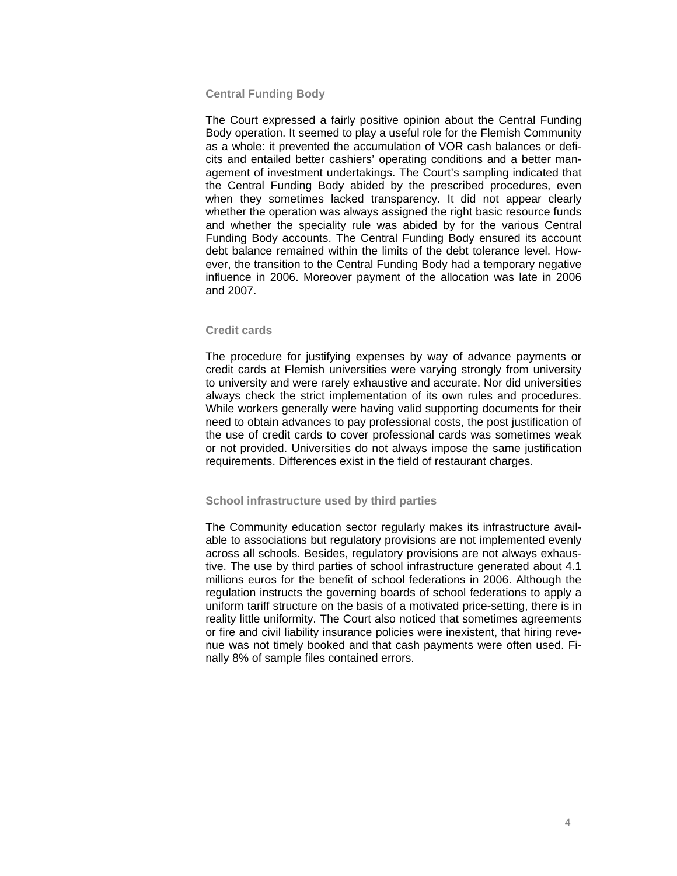# **Central Funding Body**

The Court expressed a fairly positive opinion about the Central Funding Body operation. It seemed to play a useful role for the Flemish Community as a whole: it prevented the accumulation of VOR cash balances or deficits and entailed better cashiers' operating conditions and a better management of investment undertakings. The Court's sampling indicated that the Central Funding Body abided by the prescribed procedures, even when they sometimes lacked transparency. It did not appear clearly whether the operation was always assigned the right basic resource funds and whether the speciality rule was abided by for the various Central Funding Body accounts. The Central Funding Body ensured its account debt balance remained within the limits of the debt tolerance level. However, the transition to the Central Funding Body had a temporary negative influence in 2006. Moreover payment of the allocation was late in 2006 and 2007.

#### **Credit cards**

The procedure for justifying expenses by way of advance payments or credit cards at Flemish universities were varying strongly from university to university and were rarely exhaustive and accurate. Nor did universities always check the strict implementation of its own rules and procedures. While workers generally were having valid supporting documents for their need to obtain advances to pay professional costs, the post justification of the use of credit cards to cover professional cards was sometimes weak or not provided. Universities do not always impose the same justification requirements. Differences exist in the field of restaurant charges.

# **School infrastructure used by third parties**

The Community education sector regularly makes its infrastructure available to associations but regulatory provisions are not implemented evenly across all schools. Besides, regulatory provisions are not always exhaustive. The use by third parties of school infrastructure generated about 4.1 millions euros for the benefit of school federations in 2006. Although the regulation instructs the governing boards of school federations to apply a uniform tariff structure on the basis of a motivated price-setting, there is in reality little uniformity. The Court also noticed that sometimes agreements or fire and civil liability insurance policies were inexistent, that hiring revenue was not timely booked and that cash payments were often used. Finally 8% of sample files contained errors.